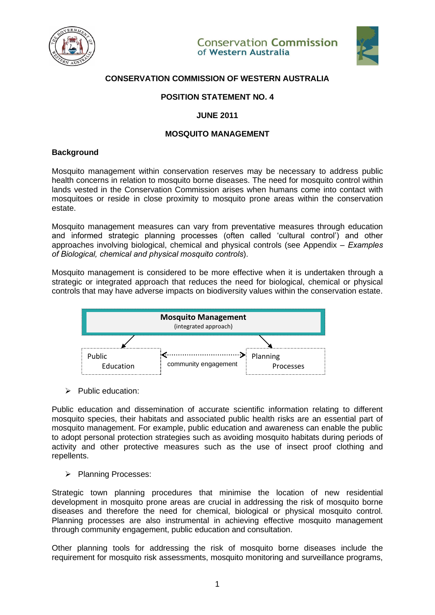



# **CONSERVATION COMMISSION OF WESTERN AUSTRALIA**

# **POSITION STATEMENT NO. 4**

# **JUNE 2011**

# **MOSQUITO MANAGEMENT**

#### **Background**

Mosquito management within conservation reserves may be necessary to address public health concerns in relation to mosquito borne diseases. The need for mosquito control within lands vested in the Conservation Commission arises when humans come into contact with mosquitoes or reside in close proximity to mosquito prone areas within the conservation estate.

Mosquito management measures can vary from preventative measures through education and informed strategic planning processes (often called 'cultural control') and other approaches involving biological, chemical and physical controls (see Appendix – *Examples of Biological, chemical and physical mosquito controls*).

Mosquito management is considered to be more effective when it is undertaken through a strategic or integrated approach that reduces the need for biological, chemical or physical controls that may have adverse impacts on biodiversity values within the conservation estate.



➢ Public education:

Public education and dissemination of accurate scientific information relating to different mosquito species, their habitats and associated public health risks are an essential part of mosquito management. For example, public education and awareness can enable the public to adopt personal protection strategies such as avoiding mosquito habitats during periods of activity and other protective measures such as the use of insect proof clothing and repellents.

➢ Planning Processes:

Strategic town planning procedures that minimise the location of new residential development in mosquito prone areas are crucial in addressing the risk of mosquito borne diseases and therefore the need for chemical, biological or physical mosquito control. Planning processes are also instrumental in achieving effective mosquito management through community engagement, public education and consultation.

Other planning tools for addressing the risk of mosquito borne diseases include the requirement for mosquito risk assessments, mosquito monitoring and surveillance programs,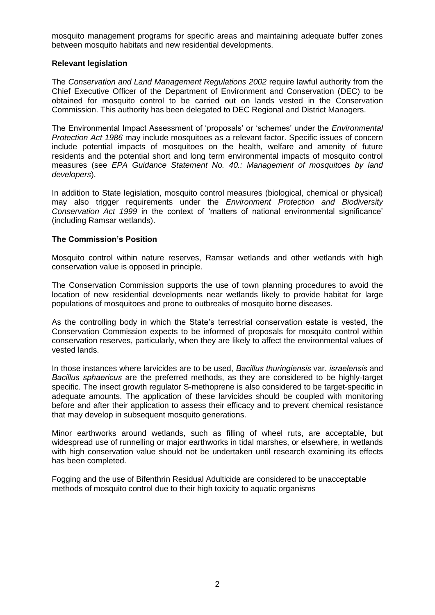mosquito management programs for specific areas and maintaining adequate buffer zones between mosquito habitats and new residential developments.

# **Relevant legislation**

The *Conservation and Land Management Regulations 2002* require lawful authority from the Chief Executive Officer of the Department of Environment and Conservation (DEC) to be obtained for mosquito control to be carried out on lands vested in the Conservation Commission. This authority has been delegated to DEC Regional and District Managers.

The Environmental Impact Assessment of 'proposals' or 'schemes' under the *Environmental Protection Act 1986* may include mosquitoes as a relevant factor. Specific issues of concern include potential impacts of mosquitoes on the health, welfare and amenity of future residents and the potential short and long term environmental impacts of mosquito control measures (see *EPA Guidance Statement No. 40.: Management of mosquitoes by land developers*).

In addition to State legislation, mosquito control measures (biological, chemical or physical) may also trigger requirements under the *Environment Protection and Biodiversity Conservation Act 1999* in the context of 'matters of national environmental significance' (including Ramsar wetlands).

# **The Commission's Position**

Mosquito control within nature reserves, Ramsar wetlands and other wetlands with high conservation value is opposed in principle.

The Conservation Commission supports the use of town planning procedures to avoid the location of new residential developments near wetlands likely to provide habitat for large populations of mosquitoes and prone to outbreaks of mosquito borne diseases.

As the controlling body in which the State's terrestrial conservation estate is vested, the Conservation Commission expects to be informed of proposals for mosquito control within conservation reserves, particularly, when they are likely to affect the environmental values of vested lands.

In those instances where larvicides are to be used, *Bacillus thuringiensis* var. *israelensis* and *Bacillus sphaericus* are the preferred methods, as they are considered to be highly-target specific. The insect growth regulator S-methoprene is also considered to be target-specific in adequate amounts. The application of these larvicides should be coupled with monitoring before and after their application to assess their efficacy and to prevent chemical resistance that may develop in subsequent mosquito generations.

Minor earthworks around wetlands, such as filling of wheel ruts, are acceptable, but widespread use of runnelling or major earthworks in tidal marshes, or elsewhere, in wetlands with high conservation value should not be undertaken until research examining its effects has been completed.

Fogging and the use of Bifenthrin Residual Adulticide are considered to be unacceptable methods of mosquito control due to their high toxicity to aquatic organisms